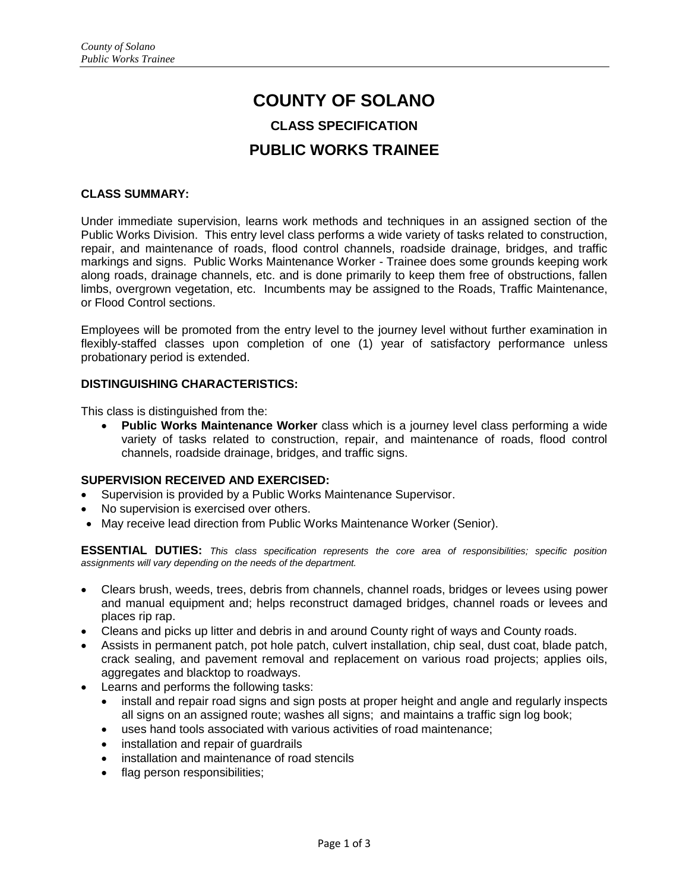# **COUNTY OF SOLANO CLASS SPECIFICATION PUBLIC WORKS TRAINEE**

## **CLASS SUMMARY:**

Under immediate supervision, learns work methods and techniques in an assigned section of the Public Works Division. This entry level class performs a wide variety of tasks related to construction, repair, and maintenance of roads, flood control channels, roadside drainage, bridges, and traffic markings and signs. Public Works Maintenance Worker - Trainee does some grounds keeping work along roads, drainage channels, etc. and is done primarily to keep them free of obstructions, fallen limbs, overgrown vegetation, etc. Incumbents may be assigned to the Roads, Traffic Maintenance, or Flood Control sections.

Employees will be promoted from the entry level to the journey level without further examination in flexibly-staffed classes upon completion of one (1) year of satisfactory performance unless probationary period is extended.

## **DISTINGUISHING CHARACTERISTICS:**

This class is distinguished from the:

 **Public Works Maintenance Worker** class which is a journey level class performing a wide variety of tasks related to construction, repair, and maintenance of roads, flood control channels, roadside drainage, bridges, and traffic signs.

## **SUPERVISION RECEIVED AND EXERCISED:**

- Supervision is provided by a Public Works Maintenance Supervisor.
- No supervision is exercised over others.
- May receive lead direction from Public Works Maintenance Worker (Senior).

**ESSENTIAL DUTIES:** *This class specification represents the core area of responsibilities; specific position assignments will vary depending on the needs of the department.*

- Clears brush, weeds, trees, debris from channels, channel roads, bridges or levees using power and manual equipment and; helps reconstruct damaged bridges, channel roads or levees and places rip rap.
- Cleans and picks up litter and debris in and around County right of ways and County roads.
- Assists in permanent patch, pot hole patch, culvert installation, chip seal, dust coat, blade patch, crack sealing, and pavement removal and replacement on various road projects; applies oils, aggregates and blacktop to roadways.
- Learns and performs the following tasks:
	- install and repair road signs and sign posts at proper height and angle and regularly inspects all signs on an assigned route; washes all signs; and maintains a traffic sign log book;
	- uses hand tools associated with various activities of road maintenance;
	- installation and repair of quardrails
	- installation and maintenance of road stencils
	- flag person responsibilities;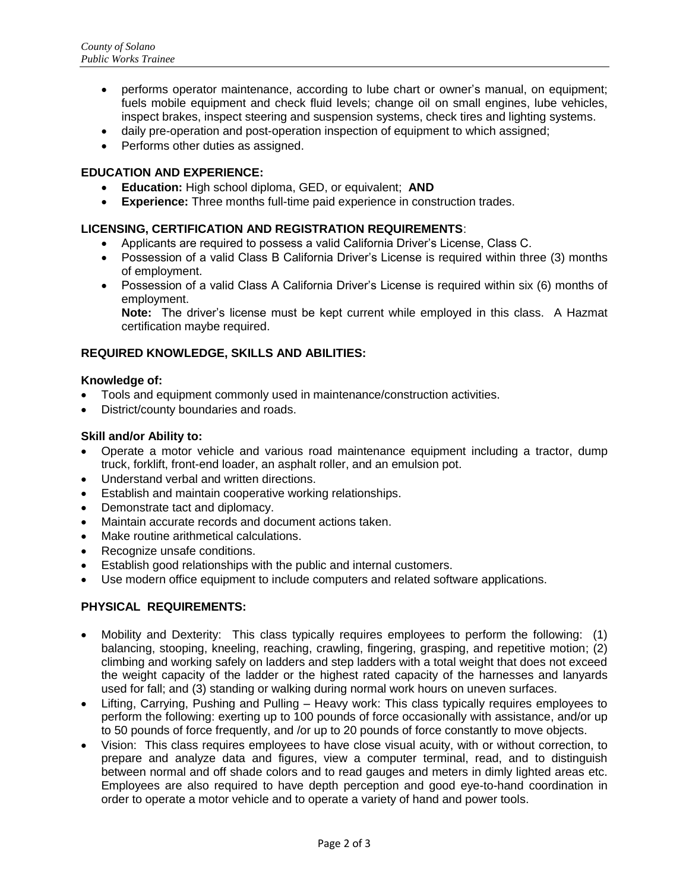- performs operator maintenance, according to lube chart or owner's manual, on equipment; fuels mobile equipment and check fluid levels; change oil on small engines, lube vehicles, inspect brakes, inspect steering and suspension systems, check tires and lighting systems.
- daily pre-operation and post-operation inspection of equipment to which assigned;
- Performs other duties as assigned.

## **EDUCATION AND EXPERIENCE:**

- **Education:** High school diploma, GED, or equivalent; **AND**
- **Experience:** Three months full-time paid experience in construction trades.

## **LICENSING, CERTIFICATION AND REGISTRATION REQUIREMENTS**:

- Applicants are required to possess a valid California Driver's License, Class C.
- Possession of a valid Class B California Driver's License is required within three (3) months of employment.
- Possession of a valid Class A California Driver's License is required within six (6) months of employment.

**Note:** The driver's license must be kept current while employed in this class. A Hazmat certification maybe required.

# **REQUIRED KNOWLEDGE, SKILLS AND ABILITIES:**

#### **Knowledge of:**

- Tools and equipment commonly used in maintenance/construction activities.
- District/county boundaries and roads.

## **Skill and/or Ability to:**

- Operate a motor vehicle and various road maintenance equipment including a tractor, dump truck, forklift, front-end loader, an asphalt roller, and an emulsion pot.
- Understand verbal and written directions.
- Establish and maintain cooperative working relationships.
- Demonstrate tact and diplomacy.
- Maintain accurate records and document actions taken.
- Make routine arithmetical calculations.
- Recognize unsafe conditions.
- Establish good relationships with the public and internal customers.
- Use modern office equipment to include computers and related software applications.

## **PHYSICAL REQUIREMENTS:**

- Mobility and Dexterity: This class typically requires employees to perform the following: (1) balancing, stooping, kneeling, reaching, crawling, fingering, grasping, and repetitive motion; (2) climbing and working safely on ladders and step ladders with a total weight that does not exceed the weight capacity of the ladder or the highest rated capacity of the harnesses and lanyards used for fall; and (3) standing or walking during normal work hours on uneven surfaces.
- Lifting, Carrying, Pushing and Pulling Heavy work: This class typically requires employees to perform the following: exerting up to 100 pounds of force occasionally with assistance, and/or up to 50 pounds of force frequently, and /or up to 20 pounds of force constantly to move objects.
- Vision: This class requires employees to have close visual acuity, with or without correction, to prepare and analyze data and figures, view a computer terminal, read, and to distinguish between normal and off shade colors and to read gauges and meters in dimly lighted areas etc. Employees are also required to have depth perception and good eye-to-hand coordination in order to operate a motor vehicle and to operate a variety of hand and power tools.